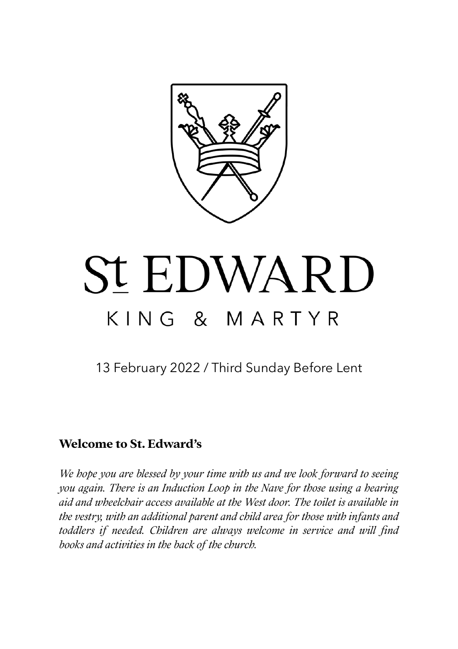

# **St EDWARD** KING & MARTYR

13 February 2022 / Third Sunday Before Lent

## **Welcome to St. Edward's**

*We hope you are blessed by your time with us and we look forward to seeing you again. There is an Induction Loop in the Nave for those using a hearing aid and wheelchair access available at the West door. The toilet is available in the vestry, with an additional parent and child area for those with infants and toddlers if needed. Children are always welcome in service and will find books and activities in the back of the church.*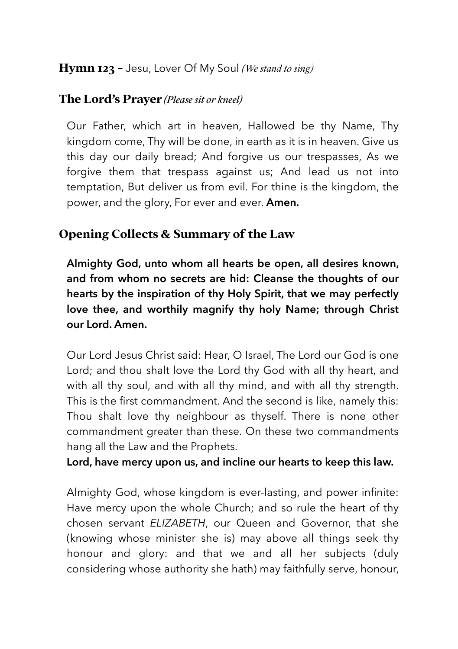## **Hymn 123 -** Jesu, Lover Of My Soul *(We stand to sing)*

#### **The Lord's Prayer** *(Please sit or kneel)*

Our Father, which art in heaven, Hallowed be thy Name, Thy kingdom come, Thy will be done, in earth as it is in heaven. Give us this day our daily bread; And forgive us our trespasses, As we forgive them that trespass against us; And lead us not into temptation, But deliver us from evil. For thine is the kingdom, the power, and the glory, For ever and ever. **Amen.**

# **Opening Collects & Summary of the Law**

**Almighty God, unto whom all hearts be open, all desires known, and from whom no secrets are hid: Cleanse the thoughts of our hearts by the inspiration of thy Holy Spirit, that we may perfectly love thee, and worthily magnify thy holy Name; through Christ our Lord. Amen.** 

Our Lord Jesus Christ said: Hear, O Israel, The Lord our God is one Lord; and thou shalt love the Lord thy God with all thy heart, and with all thy soul, and with all thy mind, and with all thy strength. This is the first commandment. And the second is like, namely this: Thou shalt love thy neighbour as thyself. There is none other commandment greater than these. On these two commandments hang all the Law and the Prophets.

#### **Lord, have mercy upon us, and incline our hearts to keep this law.**

Almighty God, whose kingdom is ever-lasting, and power infinite: Have mercy upon the whole Church; and so rule the heart of thy chosen servant *ELIZABETH*, our Queen and Governor, that she (knowing whose minister she is) may above all things seek thy honour and glory: and that we and all her subjects (duly considering whose authority she hath) may faithfully serve, honour,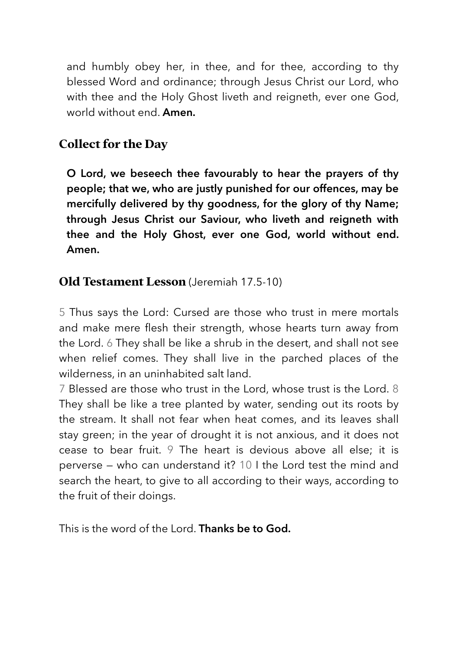and humbly obey her, in thee, and for thee, according to thy blessed Word and ordinance; through Jesus Christ our Lord, who with thee and the Holy Ghost liveth and reigneth, ever one God, world without end. **Amen.**

# **Collect for the Day**

**O Lord, we beseech thee favourably to hear the prayers of thy people; that we, who are justly punished for our offences, may be mercifully delivered by thy goodness, for the glory of thy Name; through Jesus Christ our Saviour, who liveth and reigneth with thee and the Holy Ghost, ever one God, world without end. Amen.** 

# **Old Testament Lesson** (Jeremiah 17.5-10)

5 Thus says the Lord: Cursed are those who trust in mere mortals and make mere flesh their strength, whose hearts turn away from the Lord. 6 They shall be like a shrub in the desert, and shall not see when relief comes. They shall live in the parched places of the wilderness, in an uninhabited salt land.

7 Blessed are those who trust in the Lord, whose trust is the Lord. 8 They shall be like a tree planted by water, sending out its roots by the stream. It shall not fear when heat comes, and its leaves shall stay green; in the year of drought it is not anxious, and it does not cease to bear fruit. 9 The heart is devious above all else; it is perverse — who can understand it? 10 I the Lord test the mind and search the heart, to give to all according to their ways, according to the fruit of their doings.

This is the word of the Lord. **Thanks be to God.**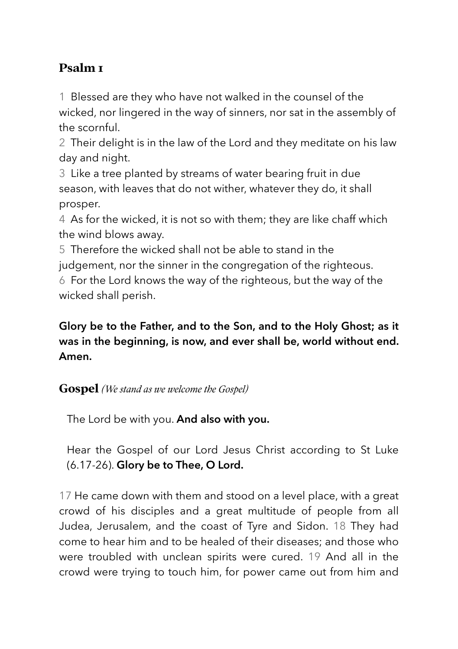# **Psalm 1**

1 Blessed are they who have not walked in the counsel of the wicked, nor lingered in the way of sinners, nor sat in the assembly of the scornful.

2 Their delight is in the law of the Lord and they meditate on his law day and night.

3 Like a tree planted by streams of water bearing fruit in due season, with leaves that do not wither, whatever they do, it shall prosper.

4 As for the wicked, it is not so with them; they are like chaff which the wind blows away.

5 Therefore the wicked shall not be able to stand in the judgement, nor the sinner in the congregation of the righteous. 6 For the Lord knows the way of the righteous, but the way of the wicked shall perish.

# **Glory be to the Father, and to the Son, and to the Holy Ghost; as it was in the beginning, is now, and ever shall be, world without end. Amen.**

## **Gospel** *(We stand as we welcome the Gospel)*

The Lord be with you. **And also with you.** 

Hear the Gospel of our Lord Jesus Christ according to St Luke (6.17-26). **Glory be to Thee, O Lord.** 

17 He came down with them and stood on a level place, with a great crowd of his disciples and a great multitude of people from all Judea, Jerusalem, and the coast of Tyre and Sidon. 18 They had come to hear him and to be healed of their diseases; and those who were troubled with unclean spirits were cured. 19 And all in the crowd were trying to touch him, for power came out from him and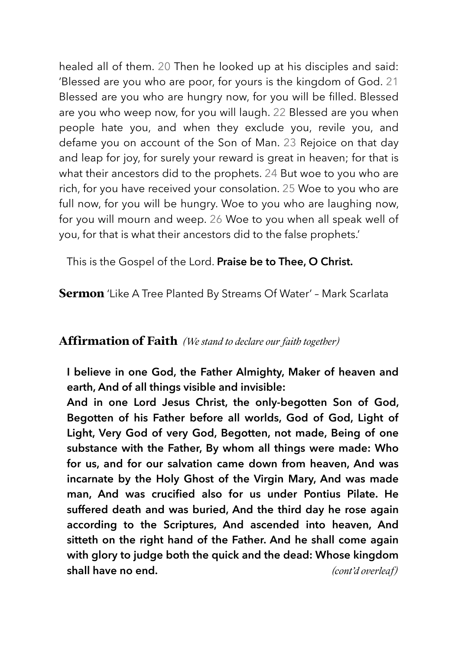healed all of them. 20 Then he looked up at his disciples and said: 'Blessed are you who are poor, for yours is the kingdom of God. 21 Blessed are you who are hungry now, for you will be filled. Blessed are you who weep now, for you will laugh. 22 Blessed are you when people hate you, and when they exclude you, revile you, and defame you on account of the Son of Man. 23 Rejoice on that day and leap for joy, for surely your reward is great in heaven; for that is what their ancestors did to the prophets. 24 But woe to you who are rich, for you have received your consolation. 25 Woe to you who are full now, for you will be hungry. Woe to you who are laughing now, for you will mourn and weep. 26 Woe to you when all speak well of you, for that is what their ancestors did to the false prophets.'

This is the Gospel of the Lord. **Praise be to Thee, O Christ.**

**Sermon** 'Like A Tree Planted By Streams Of Water' – Mark Scarlata

#### **Afrmation of Faith** *(We stand to declare our faith together)*

**I believe in one God, the Father Almighty, Maker of heaven and earth, And of all things visible and invisible:** 

**And in one Lord Jesus Christ, the only-begotten Son of God, Begotten of his Father before all worlds, God of God, Light of Light, Very God of very God, Begotten, not made, Being of one substance with the Father, By whom all things were made: Who for us, and for our salvation came down from heaven, And was incarnate by the Holy Ghost of the Virgin Mary, And was made man, And was crucified also for us under Pontius Pilate. He suffered death and was buried, And the third day he rose again according to the Scriptures, And ascended into heaven, And sitteth on the right hand of the Father. And he shall come again with glory to judge both the quick and the dead: Whose kingdom shall have no end.** *(cont'd overleaf)*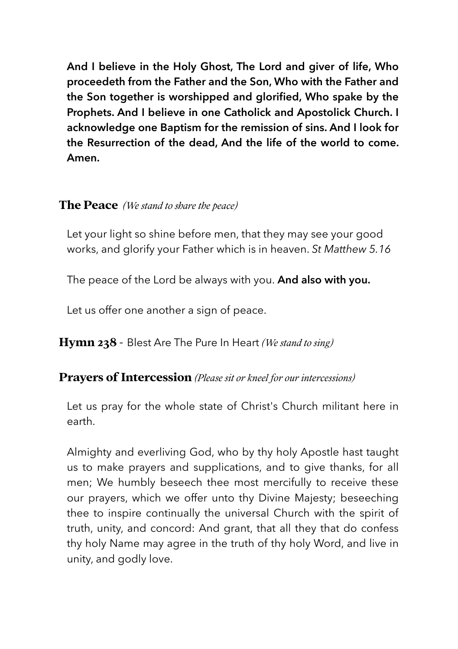**And I believe in the Holy Ghost, The Lord and giver of life, Who proceedeth from the Father and the Son, Who with the Father and the Son together is worshipped and glorified, Who spake by the Prophets. And I believe in one Catholick and Apostolick Church. I acknowledge one Baptism for the remission of sins. And I look for the Resurrection of the dead, And the life of the world to come. Amen.** 

#### **The Peace** *(We stand to share the peace)*

Let your light so shine before men, that they may see your good works, and glorify your Father which is in heaven. *St Matthew 5.16* 

The peace of the Lord be always with you. **And also with you.** 

Let us offer one another a sign of peace.

**Hymn 238** - Blest Are The Pure In Heart *(We stand to sing)*

#### **Prayers of Intercession** *(Please sit or kneel for our intercessions)*

Let us pray for the whole state of Christ's Church militant here in earth.

Almighty and everliving God, who by thy holy Apostle hast taught us to make prayers and supplications, and to give thanks, for all men; We humbly beseech thee most mercifully to receive these our prayers, which we offer unto thy Divine Majesty; beseeching thee to inspire continually the universal Church with the spirit of truth, unity, and concord: And grant, that all they that do confess thy holy Name may agree in the truth of thy holy Word, and live in unity, and godly love.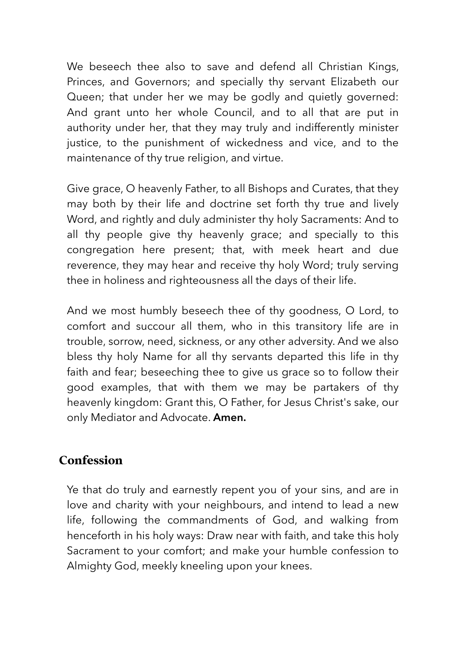We beseech thee also to save and defend all Christian Kings, Princes, and Governors; and specially thy servant Elizabeth our Queen; that under her we may be godly and quietly governed: And grant unto her whole Council, and to all that are put in authority under her, that they may truly and indifferently minister justice, to the punishment of wickedness and vice, and to the maintenance of thy true religion, and virtue.

Give grace, O heavenly Father, to all Bishops and Curates, that they may both by their life and doctrine set forth thy true and lively Word, and rightly and duly administer thy holy Sacraments: And to all thy people give thy heavenly grace; and specially to this congregation here present; that, with meek heart and due reverence, they may hear and receive thy holy Word; truly serving thee in holiness and righteousness all the days of their life.

And we most humbly beseech thee of thy goodness, O Lord, to comfort and succour all them, who in this transitory life are in trouble, sorrow, need, sickness, or any other adversity. And we also bless thy holy Name for all thy servants departed this life in thy faith and fear; beseeching thee to give us grace so to follow their good examples, that with them we may be partakers of thy heavenly kingdom: Grant this, O Father, for Jesus Christ's sake, our only Mediator and Advocate. **Amen.**

# **Confession**

Ye that do truly and earnestly repent you of your sins, and are in love and charity with your neighbours, and intend to lead a new life, following the commandments of God, and walking from henceforth in his holy ways: Draw near with faith, and take this holy Sacrament to your comfort; and make your humble confession to Almighty God, meekly kneeling upon your knees.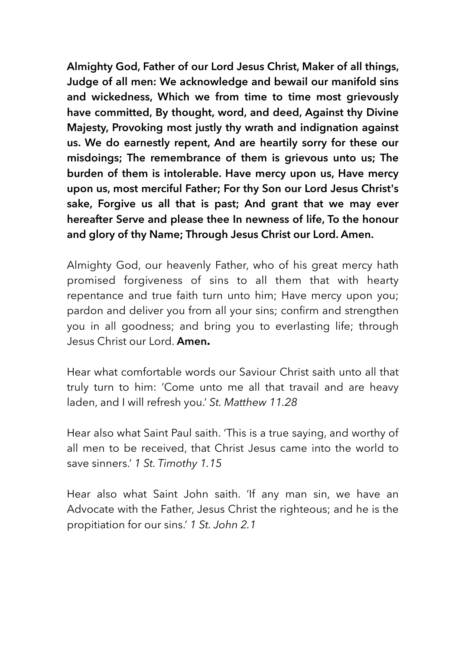**Almighty God, Father of our Lord Jesus Christ, Maker of all things, Judge of all men: We acknowledge and bewail our manifold sins and wickedness, Which we from time to time most grievously have committed, By thought, word, and deed, Against thy Divine Majesty, Provoking most justly thy wrath and indignation against us. We do earnestly repent, And are heartily sorry for these our misdoings; The remembrance of them is grievous unto us; The burden of them is intolerable. Have mercy upon us, Have mercy upon us, most merciful Father; For thy Son our Lord Jesus Christ's sake, Forgive us all that is past; And grant that we may ever hereafter Serve and please thee In newness of life, To the honour and glory of thy Name; Through Jesus Christ our Lord. Amen.** 

Almighty God, our heavenly Father, who of his great mercy hath promised forgiveness of sins to all them that with hearty repentance and true faith turn unto him; Have mercy upon you; pardon and deliver you from all your sins; confirm and strengthen you in all goodness; and bring you to everlasting life; through Jesus Christ our Lord. **Amen.**

Hear what comfortable words our Saviour Christ saith unto all that truly turn to him: 'Come unto me all that travail and are heavy laden, and I will refresh you.' *St. Matthew 11.28*

Hear also what Saint Paul saith. 'This is a true saying, and worthy of all men to be received, that Christ Jesus came into the world to save sinners.' *1 St. Timothy 1.15*

Hear also what Saint John saith. 'If any man sin, we have an Advocate with the Father, Jesus Christ the righteous; and he is the propitiation for our sins.' *1 St. John 2.1*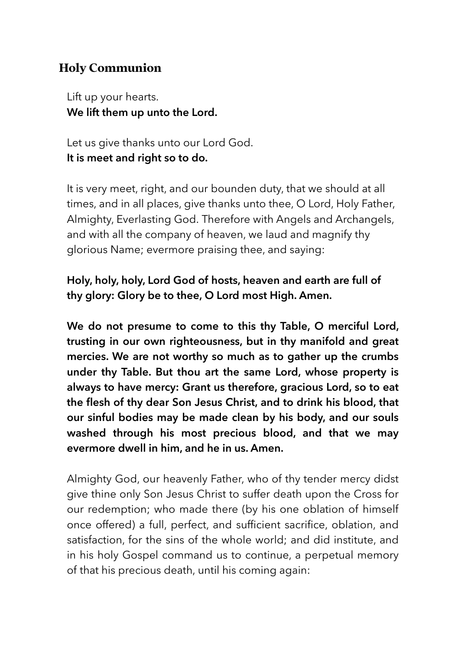# **Holy Communion**

Lift up your hearts. **We lift them up unto the Lord.** 

Let us give thanks unto our Lord God. **It is meet and right so to do.** 

It is very meet, right, and our bounden duty, that we should at all times, and in all places, give thanks unto thee, O Lord, Holy Father, Almighty, Everlasting God. Therefore with Angels and Archangels, and with all the company of heaven, we laud and magnify thy glorious Name; evermore praising thee, and saying:

# **Holy, holy, holy, Lord God of hosts, heaven and earth are full of thy glory: Glory be to thee, O Lord most High. Amen.**

**We do not presume to come to this thy Table, O merciful Lord, trusting in our own righteousness, but in thy manifold and great mercies. We are not worthy so much as to gather up the crumbs under thy Table. But thou art the same Lord, whose property is always to have mercy: Grant us therefore, gracious Lord, so to eat the flesh of thy dear Son Jesus Christ, and to drink his blood, that our sinful bodies may be made clean by his body, and our souls washed through his most precious blood, and that we may evermore dwell in him, and he in us. Amen.** 

Almighty God, our heavenly Father, who of thy tender mercy didst give thine only Son Jesus Christ to suffer death upon the Cross for our redemption; who made there (by his one oblation of himself once offered) a full, perfect, and sufficient sacrifice, oblation, and satisfaction, for the sins of the whole world; and did institute, and in his holy Gospel command us to continue, a perpetual memory of that his precious death, until his coming again: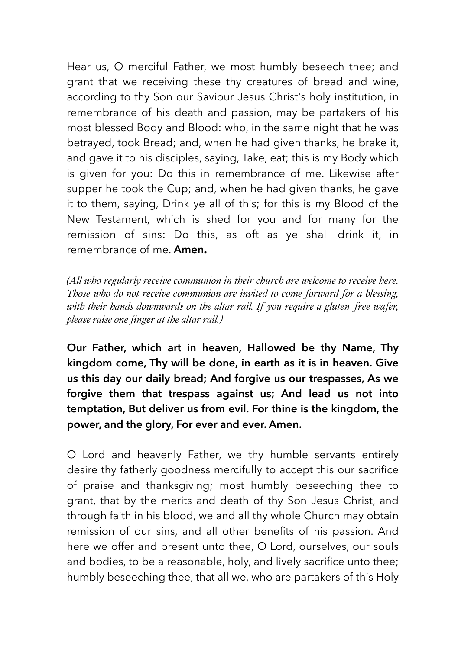Hear us, O merciful Father, we most humbly beseech thee; and grant that we receiving these thy creatures of bread and wine, according to thy Son our Saviour Jesus Christ's holy institution, in remembrance of his death and passion, may be partakers of his most blessed Body and Blood: who, in the same night that he was betrayed, took Bread; and, when he had given thanks, he brake it, and gave it to his disciples, saying, Take, eat; this is my Body which is given for you: Do this in remembrance of me. Likewise after supper he took the Cup; and, when he had given thanks, he gave it to them, saying, Drink ye all of this; for this is my Blood of the New Testament, which is shed for you and for many for the remission of sins: Do this, as oft as ye shall drink it, in remembrance of me. **Amen.**

*(All who regularly receive communion in their church are welcome to receive here. Those who do not receive communion are invited to come forward for a blessing, with their hands downwards on the altar rail. If you require a gluten-free wafer, please raise one finger at the altar rail.)*

**Our Father, which art in heaven, Hallowed be thy Name, Thy kingdom come, Thy will be done, in earth as it is in heaven. Give us this day our daily bread; And forgive us our trespasses, As we forgive them that trespass against us; And lead us not into temptation, But deliver us from evil. For thine is the kingdom, the power, and the glory, For ever and ever. Amen.** 

O Lord and heavenly Father, we thy humble servants entirely desire thy fatherly goodness mercifully to accept this our sacrifice of praise and thanksgiving; most humbly beseeching thee to grant, that by the merits and death of thy Son Jesus Christ, and through faith in his blood, we and all thy whole Church may obtain remission of our sins, and all other benefits of his passion. And here we offer and present unto thee, O Lord, ourselves, our souls and bodies, to be a reasonable, holy, and lively sacrifice unto thee; humbly beseeching thee, that all we, who are partakers of this Holy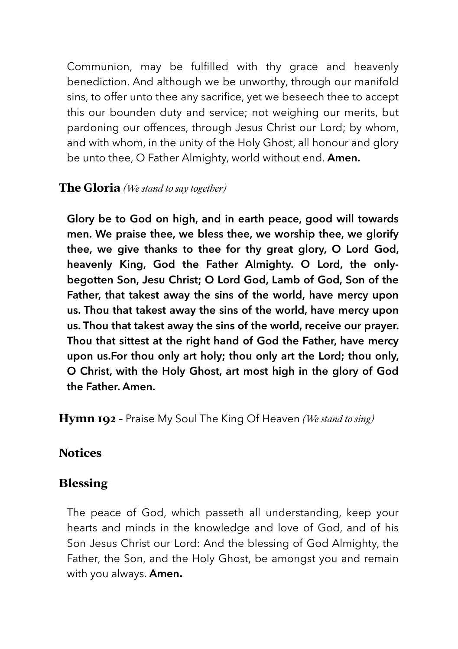Communion, may be fulfilled with thy grace and heavenly benediction. And although we be unworthy, through our manifold sins, to offer unto thee any sacrifice, yet we beseech thee to accept this our bounden duty and service; not weighing our merits, but pardoning our offences, through Jesus Christ our Lord; by whom, and with whom, in the unity of the Holy Ghost, all honour and glory be unto thee, O Father Almighty, world without end. **Amen.**

## **The Gloria** *(We stand to say together)*

**Glory be to God on high, and in earth peace, good will towards men. We praise thee, we bless thee, we worship thee, we glorify thee, we give thanks to thee for thy great glory, O Lord God, heavenly King, God the Father Almighty. O Lord, the onlybegotten Son, Jesu Christ; O Lord God, Lamb of God, Son of the Father, that takest away the sins of the world, have mercy upon us. Thou that takest away the sins of the world, have mercy upon us. Thou that takest away the sins of the world, receive our prayer. Thou that sittest at the right hand of God the Father, have mercy upon us.For thou only art holy; thou only art the Lord; thou only, O Christ, with the Holy Ghost, art most high in the glory of God the Father. Amen.**

**Hymn 192 –** Praise My Soul The King Of Heaven *(We stand to sing)*

## **Notices**

## **Blessing**

The peace of God, which passeth all understanding, keep your hearts and minds in the knowledge and love of God, and of his Son Jesus Christ our Lord: And the blessing of God Almighty, the Father, the Son, and the Holy Ghost, be amongst you and remain with you always. **Amen.**